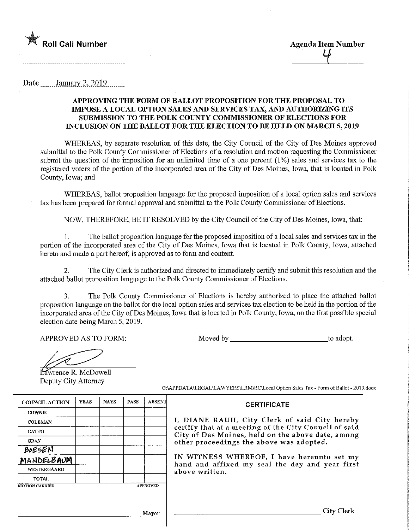

Date  $\qquad$  January 2, 2019.

## APPROVING THE FORM OF BALLOT PROPOSITION FOR THE PROPOSAL TO IMPOSE A LOCAL OPTION SALES AND SERVICES TAX, AND AUTHORIZING ITS SUBMISSION TO THE POLK COUNTY COMMISSIONER OF ELECTIONS FOR INCLUSION ON THE BALLOT FOR THE ELECTION TO BE HELD ON MARCH 5, 2019

WHEREAS, by separate resolution of this date, the City Council of the City of Des Moines approved submittal to the Polk County Commissioner of Elections of a resolution and motion requesting the Commissioner submit the question of the imposition for an unlimited time of a one percent (1%) sales and services tax to the registered voters of the portion of the incorporated area of the City of Des Moines, Iowa, that is located in Polk County, Iowa; and

WHEREAS, ballot proposition language for the proposed imposition of a local option sales and services tax has been prepared for formal approval and submittal to the Polk County Commissioner of Elections.

NOW, THEREFORE, BE IT RESOLVED by the City Council of the City of Des Moines, Iowa, that:

1. The ballot proposition language for the proposed imposition of a local sales and services tax in the portion of the incorporated area of the City of Des Moines, Iowa that is located in Polk County, Iowa, attached hereto and made a part hereof, is approved as to form and content.

2. The City Clerk is authorized and directed to immediately certify and submit tliis resolution and the attached ballot proposition language to the Polk County Commissioner of Elections.

3. The Polk County Commissioner of Elections is hereby authorized to place the attached ballot proposition language on the ballot for the local option sales and services tax election to be held in the portion of the incorporated area of the City of Des Moines, Iowa that is located in Polk County, Iowa, on the first possible special election date being March 5, 2019.

APPROVED AS TO FORM: Noved by J:on and to adopt.

**Lawrence R. McDowell** Deputy City Attorney

| <b>COUNCIL ACTION</b> | <b>YEAS</b> | <b>NAYS</b> | PASS | ABSENT          |
|-----------------------|-------------|-------------|------|-----------------|
| <b>COWNIE</b>         |             |             |      |                 |
| <b>COLEMAN</b>        |             |             |      |                 |
| <b>GATTO</b>          |             |             |      |                 |
| <b>GRAY</b>           |             |             |      |                 |
| BOESEN                |             |             |      |                 |
| MANDELBAUM            |             |             |      |                 |
| <b>WESTERGAARD</b>    |             |             |      |                 |
| TOTAL                 |             |             |      |                 |
| <b>MOTION CARRIED</b> |             |             |      | <b>APPROVED</b> |

G:VAPPDATA\LEGAL\LAWYERS\LRM\RC\Local Option Sales Tax - Form of Ballot - 2019.docx

**CERTIFICATE** 

## I, DIANE RAUH, City Clerk of said City hereby certify that at a meeting of the City Council of said City of Des Moines, held on the above date, among other proceedings the above was adopted.

IN WITNESS WHEREOF/ I have hereunto set my hand and affixed my seal the day and year first above written.

,] layer